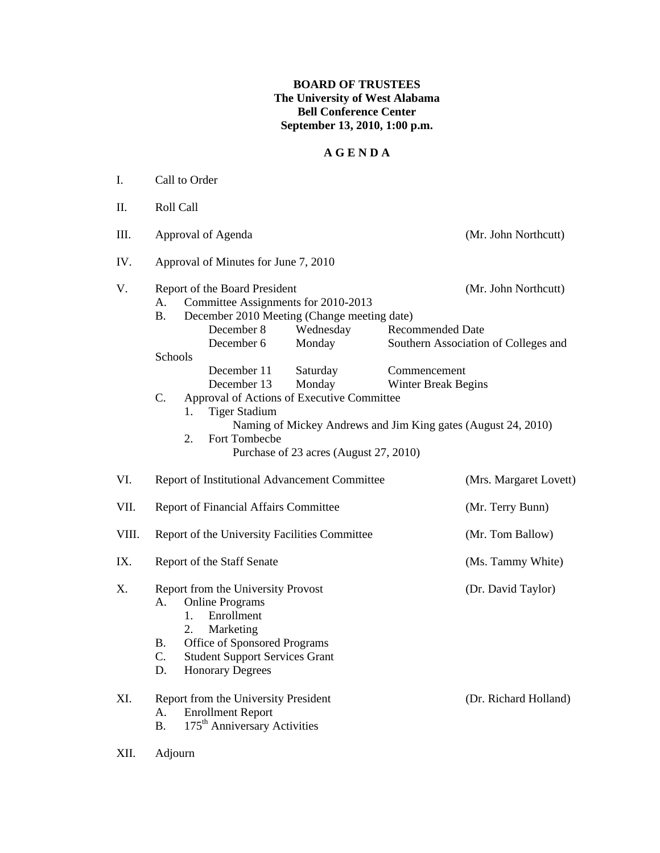## **BOARD OF TRUSTEES The University of West Alabama Bell Conference Center September 13, 2010, 1:00 p.m.**

## **A G E N D A**

| I.    | Call to Order                                                                                                                                                                                                                                                                                                                                                                                                                                                                                                                                           |                                                              |
|-------|---------------------------------------------------------------------------------------------------------------------------------------------------------------------------------------------------------------------------------------------------------------------------------------------------------------------------------------------------------------------------------------------------------------------------------------------------------------------------------------------------------------------------------------------------------|--------------------------------------------------------------|
| П.    | Roll Call                                                                                                                                                                                                                                                                                                                                                                                                                                                                                                                                               |                                                              |
| Ш.    | Approval of Agenda                                                                                                                                                                                                                                                                                                                                                                                                                                                                                                                                      | (Mr. John Northcutt)                                         |
| IV.   | Approval of Minutes for June 7, 2010                                                                                                                                                                                                                                                                                                                                                                                                                                                                                                                    |                                                              |
| V.    | Report of the Board President<br>A.<br>Committee Assignments for 2010-2013<br><b>B.</b><br>December 2010 Meeting (Change meeting date)<br>December 8<br>Wednesday<br><b>Recommended Date</b><br>December 6<br>Monday<br>Schools<br>December 11<br>Saturday<br>Commencement<br>Monday<br>December 13<br>Winter Break Begins<br>Approval of Actions of Executive Committee<br>$C_{\cdot}$<br><b>Tiger Stadium</b><br>1.<br>Naming of Mickey Andrews and Jim King gates (August 24, 2010)<br>Fort Tombecbe<br>2.<br>Purchase of 23 acres (August 27, 2010) | (Mr. John Northcutt)<br>Southern Association of Colleges and |
| VI.   | Report of Institutional Advancement Committee                                                                                                                                                                                                                                                                                                                                                                                                                                                                                                           | (Mrs. Margaret Lovett)                                       |
| VII.  | <b>Report of Financial Affairs Committee</b>                                                                                                                                                                                                                                                                                                                                                                                                                                                                                                            | (Mr. Terry Bunn)                                             |
| VIII. | Report of the University Facilities Committee                                                                                                                                                                                                                                                                                                                                                                                                                                                                                                           | (Mr. Tom Ballow)                                             |
| IX.   | Report of the Staff Senate                                                                                                                                                                                                                                                                                                                                                                                                                                                                                                                              | (Ms. Tammy White)                                            |
| X.    | Report from the University Provost<br><b>Online Programs</b><br>A.<br>Enrollment<br>1.<br>2.<br>Marketing<br>Office of Sponsored Programs<br>B.<br>C.<br><b>Student Support Services Grant</b><br><b>Honorary Degrees</b><br>D.                                                                                                                                                                                                                                                                                                                         | (Dr. David Taylor)                                           |
| XI.   | Report from the University President<br><b>Enrollment Report</b><br>A.<br>175 <sup>th</sup> Anniversary Activities<br><b>B.</b>                                                                                                                                                                                                                                                                                                                                                                                                                         | (Dr. Richard Holland)                                        |

XII. Adjourn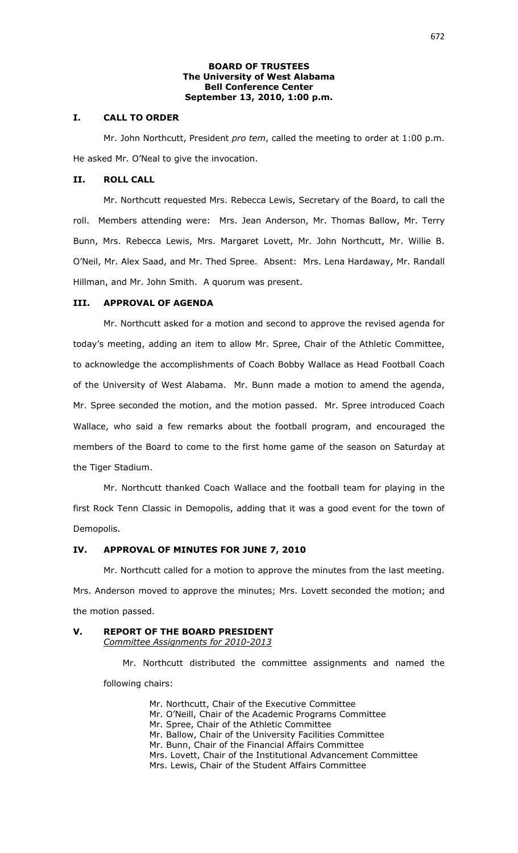### **BOARD OF TRUSTEES The University of West Alabama Bell Conference Center September 13, 2010, 1:00 p.m.**

### **I. CALL TO ORDER**

Mr. John Northcutt, President *pro tem*, called the meeting to order at 1:00 p.m. He asked Mr. O'Neal to give the invocation.

## **II. ROLL CALL**

Mr. Northcutt requested Mrs. Rebecca Lewis, Secretary of the Board, to call the roll. Members attending were: Mrs. Jean Anderson, Mr. Thomas Ballow, Mr. Terry Bunn, Mrs. Rebecca Lewis, Mrs. Margaret Lovett, Mr. John Northcutt, Mr. Willie B. O'Neil, Mr. Alex Saad, and Mr. Thed Spree. Absent: Mrs. Lena Hardaway, Mr. Randall Hillman, and Mr. John Smith. A quorum was present.

## **III. APPROVAL OF AGENDA**

Mr. Northcutt asked for a motion and second to approve the revised agenda for today's meeting, adding an item to allow Mr. Spree, Chair of the Athletic Committee, to acknowledge the accomplishments of Coach Bobby Wallace as Head Football Coach of the University of West Alabama. Mr. Bunn made a motion to amend the agenda, Mr. Spree seconded the motion, and the motion passed. Mr. Spree introduced Coach Wallace, who said a few remarks about the football program, and encouraged the members of the Board to come to the first home game of the season on Saturday at the Tiger Stadium.

Mr. Northcutt thanked Coach Wallace and the football team for playing in the first Rock Tenn Classic in Demopolis, adding that it was a good event for the town of Demopolis.

## **IV. APPROVAL OF MINUTES FOR JUNE 7, 2010**

Mr. Northcutt called for a motion to approve the minutes from the last meeting. Mrs. Anderson moved to approve the minutes; Mrs. Lovett seconded the motion; and the motion passed.

## **V. REPORT OF THE BOARD PRESIDENT** *Committee Assignments for 2010-2013*

Mr. Northcutt distributed the committee assignments and named the following chairs:

> Mr. Northcutt, Chair of the Executive Committee Mr. O'Neill, Chair of the Academic Programs Committee Mr. Spree, Chair of the Athletic Committee Mr. Ballow, Chair of the University Facilities Committee Mr. Bunn, Chair of the Financial Affairs Committee Mrs. Lovett, Chair of the Institutional Advancement Committee Mrs. Lewis, Chair of the Student Affairs Committee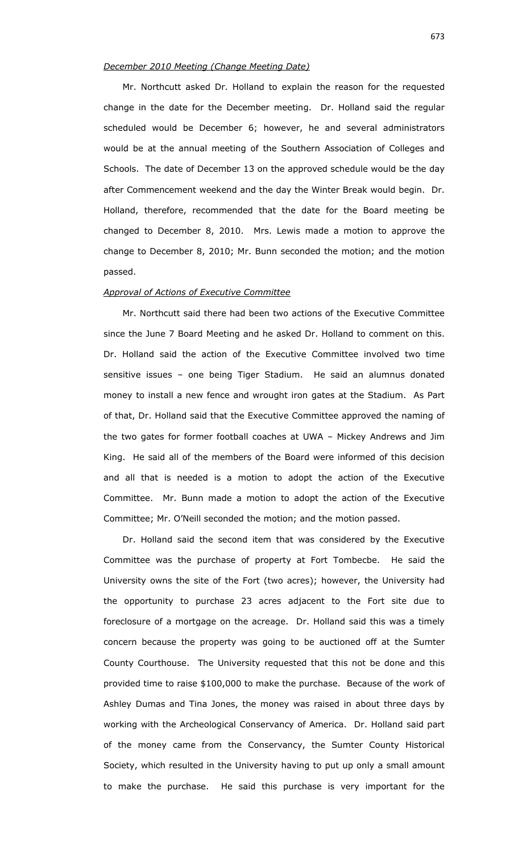## *December 2010 Meeting (Change Meeting Date)*

Mr. Northcutt asked Dr. Holland to explain the reason for the requested change in the date for the December meeting. Dr. Holland said the regular scheduled would be December 6; however, he and several administrators would be at the annual meeting of the Southern Association of Colleges and Schools. The date of December 13 on the approved schedule would be the day after Commencement weekend and the day the Winter Break would begin. Dr. Holland, therefore, recommended that the date for the Board meeting be changed to December 8, 2010. Mrs. Lewis made a motion to approve the change to December 8, 2010; Mr. Bunn seconded the motion; and the motion passed.

### *Approval of Actions of Executive Committee*

Mr. Northcutt said there had been two actions of the Executive Committee since the June 7 Board Meeting and he asked Dr. Holland to comment on this. Dr. Holland said the action of the Executive Committee involved two time sensitive issues – one being Tiger Stadium. He said an alumnus donated money to install a new fence and wrought iron gates at the Stadium. As Part of that, Dr. Holland said that the Executive Committee approved the naming of the two gates for former football coaches at UWA – Mickey Andrews and Jim King. He said all of the members of the Board were informed of this decision and all that is needed is a motion to adopt the action of the Executive Committee. Mr. Bunn made a motion to adopt the action of the Executive Committee; Mr. O'Neill seconded the motion; and the motion passed.

Dr. Holland said the second item that was considered by the Executive Committee was the purchase of property at Fort Tombecbe. He said the University owns the site of the Fort (two acres); however, the University had the opportunity to purchase 23 acres adjacent to the Fort site due to foreclosure of a mortgage on the acreage. Dr. Holland said this was a timely concern because the property was going to be auctioned off at the Sumter County Courthouse. The University requested that this not be done and this provided time to raise \$100,000 to make the purchase. Because of the work of Ashley Dumas and Tina Jones, the money was raised in about three days by working with the Archeological Conservancy of America. Dr. Holland said part of the money came from the Conservancy, the Sumter County Historical Society, which resulted in the University having to put up only a small amount to make the purchase. He said this purchase is very important for the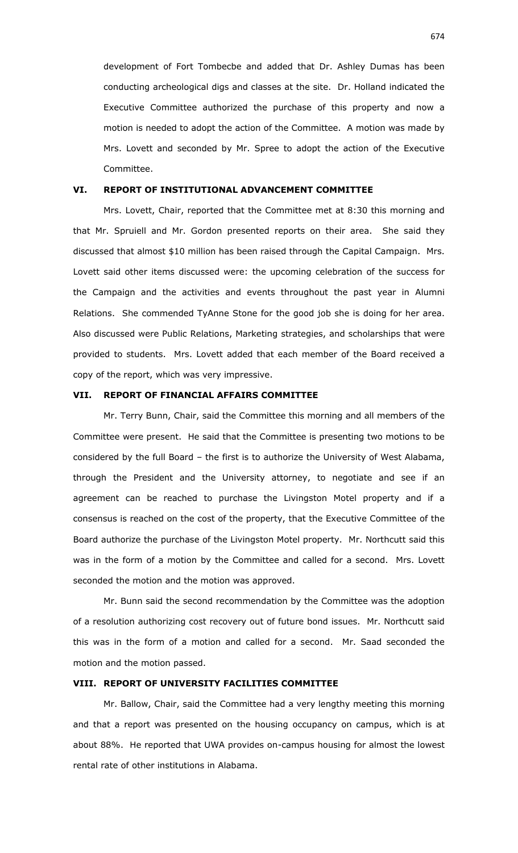development of Fort Tombecbe and added that Dr. Ashley Dumas has been conducting archeological digs and classes at the site. Dr. Holland indicated the Executive Committee authorized the purchase of this property and now a motion is needed to adopt the action of the Committee. A motion was made by Mrs. Lovett and seconded by Mr. Spree to adopt the action of the Executive Committee.

### **VI. REPORT OF INSTITUTIONAL ADVANCEMENT COMMITTEE**

Mrs. Lovett, Chair, reported that the Committee met at 8:30 this morning and that Mr. Spruiell and Mr. Gordon presented reports on their area. She said they discussed that almost \$10 million has been raised through the Capital Campaign. Mrs. Lovett said other items discussed were: the upcoming celebration of the success for the Campaign and the activities and events throughout the past year in Alumni Relations. She commended TyAnne Stone for the good job she is doing for her area. Also discussed were Public Relations, Marketing strategies, and scholarships that were provided to students. Mrs. Lovett added that each member of the Board received a copy of the report, which was very impressive.

### **VII. REPORT OF FINANCIAL AFFAIRS COMMITTEE**

Mr. Terry Bunn, Chair, said the Committee this morning and all members of the Committee were present. He said that the Committee is presenting two motions to be considered by the full Board – the first is to authorize the University of West Alabama, through the President and the University attorney, to negotiate and see if an agreement can be reached to purchase the Livingston Motel property and if a consensus is reached on the cost of the property, that the Executive Committee of the Board authorize the purchase of the Livingston Motel property. Mr. Northcutt said this was in the form of a motion by the Committee and called for a second. Mrs. Lovett seconded the motion and the motion was approved.

Mr. Bunn said the second recommendation by the Committee was the adoption of a resolution authorizing cost recovery out of future bond issues. Mr. Northcutt said this was in the form of a motion and called for a second. Mr. Saad seconded the motion and the motion passed.

## **VIII. REPORT OF UNIVERSITY FACILITIES COMMITTEE**

Mr. Ballow, Chair, said the Committee had a very lengthy meeting this morning and that a report was presented on the housing occupancy on campus, which is at about 88%. He reported that UWA provides on-campus housing for almost the lowest rental rate of other institutions in Alabama.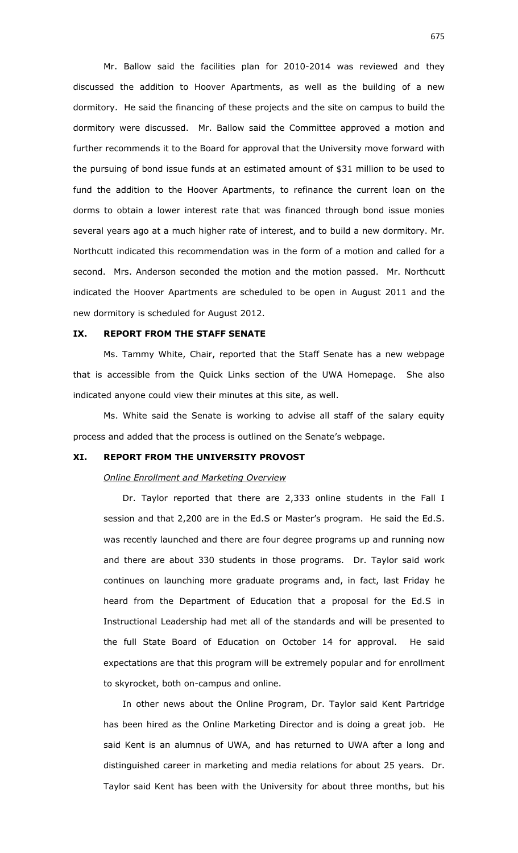Mr. Ballow said the facilities plan for 2010-2014 was reviewed and they discussed the addition to Hoover Apartments, as well as the building of a new dormitory. He said the financing of these projects and the site on campus to build the dormitory were discussed. Mr. Ballow said the Committee approved a motion and further recommends it to the Board for approval that the University move forward with the pursuing of bond issue funds at an estimated amount of \$31 million to be used to fund the addition to the Hoover Apartments, to refinance the current loan on the dorms to obtain a lower interest rate that was financed through bond issue monies several years ago at a much higher rate of interest, and to build a new dormitory. Mr. Northcutt indicated this recommendation was in the form of a motion and called for a second. Mrs. Anderson seconded the motion and the motion passed. Mr. Northcutt indicated the Hoover Apartments are scheduled to be open in August 2011 and the new dormitory is scheduled for August 2012.

#### **IX. REPORT FROM THE STAFF SENATE**

Ms. Tammy White, Chair, reported that the Staff Senate has a new webpage that is accessible from the Quick Links section of the UWA Homepage. She also indicated anyone could view their minutes at this site, as well.

Ms. White said the Senate is working to advise all staff of the salary equity process and added that the process is outlined on the Senate's webpage.

#### **XI. REPORT FROM THE UNIVERSITY PROVOST**

#### *Online Enrollment and Marketing Overview*

Dr. Taylor reported that there are 2,333 online students in the Fall I session and that 2,200 are in the Ed.S or Master's program. He said the Ed.S. was recently launched and there are four degree programs up and running now and there are about 330 students in those programs. Dr. Taylor said work continues on launching more graduate programs and, in fact, last Friday he heard from the Department of Education that a proposal for the Ed.S in Instructional Leadership had met all of the standards and will be presented to the full State Board of Education on October 14 for approval. He said expectations are that this program will be extremely popular and for enrollment to skyrocket, both on-campus and online.

In other news about the Online Program, Dr. Taylor said Kent Partridge has been hired as the Online Marketing Director and is doing a great job. He said Kent is an alumnus of UWA, and has returned to UWA after a long and distinguished career in marketing and media relations for about 25 years. Dr. Taylor said Kent has been with the University for about three months, but his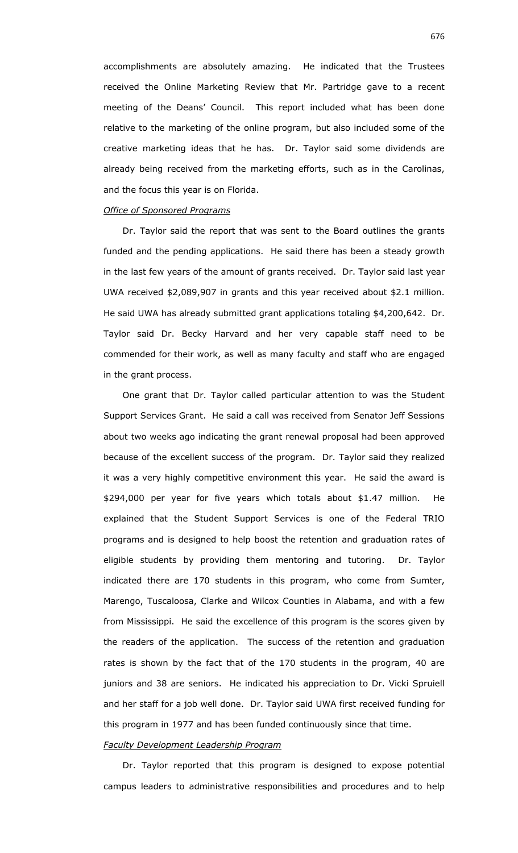accomplishments are absolutely amazing. He indicated that the Trustees received the Online Marketing Review that Mr. Partridge gave to a recent meeting of the Deans' Council. This report included what has been done relative to the marketing of the online program, but also included some of the creative marketing ideas that he has. Dr. Taylor said some dividends are already being received from the marketing efforts, such as in the Carolinas, and the focus this year is on Florida.

### *Office of Sponsored Programs*

Dr. Taylor said the report that was sent to the Board outlines the grants funded and the pending applications. He said there has been a steady growth in the last few years of the amount of grants received. Dr. Taylor said last year UWA received \$2,089,907 in grants and this year received about \$2.1 million. He said UWA has already submitted grant applications totaling \$4,200,642. Dr. Taylor said Dr. Becky Harvard and her very capable staff need to be commended for their work, as well as many faculty and staff who are engaged in the grant process.

One grant that Dr. Taylor called particular attention to was the Student Support Services Grant. He said a call was received from Senator Jeff Sessions about two weeks ago indicating the grant renewal proposal had been approved because of the excellent success of the program. Dr. Taylor said they realized it was a very highly competitive environment this year. He said the award is \$294,000 per year for five years which totals about \$1.47 million. He explained that the Student Support Services is one of the Federal TRIO programs and is designed to help boost the retention and graduation rates of eligible students by providing them mentoring and tutoring. Dr. Taylor indicated there are 170 students in this program, who come from Sumter, Marengo, Tuscaloosa, Clarke and Wilcox Counties in Alabama, and with a few from Mississippi. He said the excellence of this program is the scores given by the readers of the application. The success of the retention and graduation rates is shown by the fact that of the 170 students in the program, 40 are juniors and 38 are seniors. He indicated his appreciation to Dr. Vicki Spruiell and her staff for a job well done. Dr. Taylor said UWA first received funding for this program in 1977 and has been funded continuously since that time.

#### *Faculty Development Leadership Program*

Dr. Taylor reported that this program is designed to expose potential campus leaders to administrative responsibilities and procedures and to help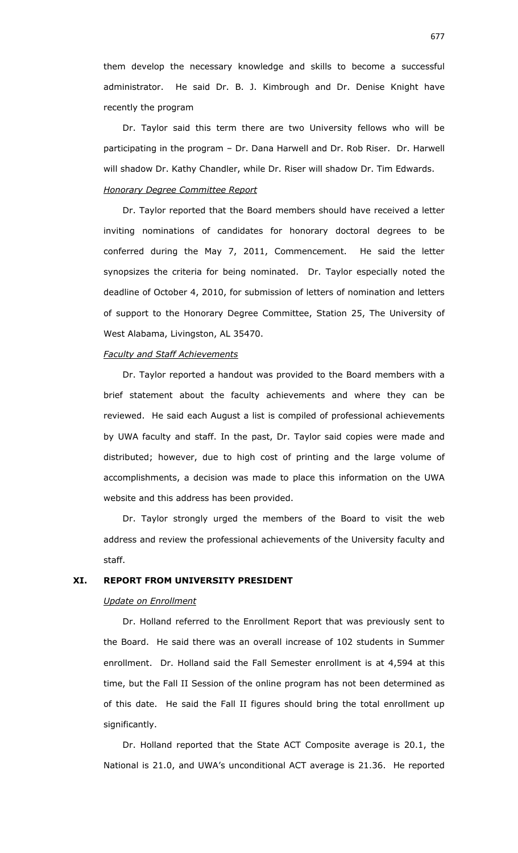them develop the necessary knowledge and skills to become a successful administrator. He said Dr. B. J. Kimbrough and Dr. Denise Knight have recently the program

Dr. Taylor said this term there are two University fellows who will be participating in the program – Dr. Dana Harwell and Dr. Rob Riser. Dr. Harwell will shadow Dr. Kathy Chandler, while Dr. Riser will shadow Dr. Tim Edwards.

#### *Honorary Degree Committee Report*

Dr. Taylor reported that the Board members should have received a letter inviting nominations of candidates for honorary doctoral degrees to be conferred during the May 7, 2011, Commencement. He said the letter synopsizes the criteria for being nominated. Dr. Taylor especially noted the deadline of October 4, 2010, for submission of letters of nomination and letters of support to the Honorary Degree Committee, Station 25, The University of West Alabama, Livingston, AL 35470.

#### *Faculty and Staff Achievements*

Dr. Taylor reported a handout was provided to the Board members with a brief statement about the faculty achievements and where they can be reviewed. He said each August a list is compiled of professional achievements by UWA faculty and staff. In the past, Dr. Taylor said copies were made and distributed; however, due to high cost of printing and the large volume of accomplishments, a decision was made to place this information on the UWA website and this address has been provided.

Dr. Taylor strongly urged the members of the Board to visit the web address and review the professional achievements of the University faculty and staff.

## **XI. REPORT FROM UNIVERSITY PRESIDENT**

## *Update on Enrollment*

Dr. Holland referred to the Enrollment Report that was previously sent to the Board. He said there was an overall increase of 102 students in Summer enrollment. Dr. Holland said the Fall Semester enrollment is at 4,594 at this time, but the Fall II Session of the online program has not been determined as of this date. He said the Fall II figures should bring the total enrollment up significantly.

Dr. Holland reported that the State ACT Composite average is 20.1, the National is 21.0, and UWA's unconditional ACT average is 21.36. He reported